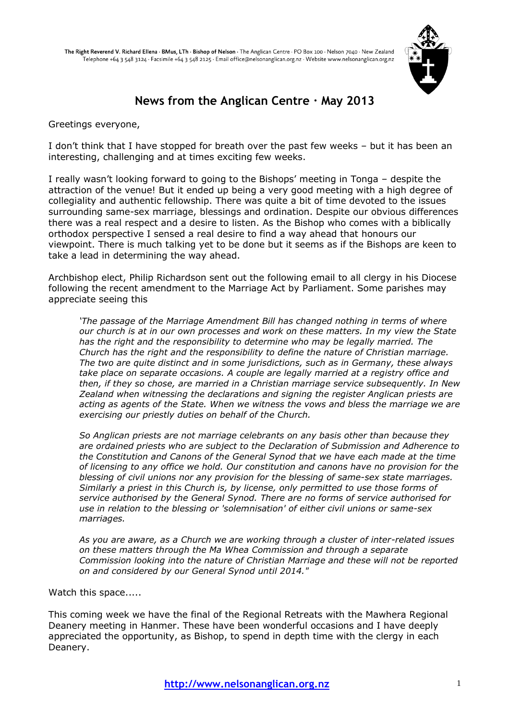

# **News from the Anglican Centre · May 2013**

Greetings everyone,

I don"t think that I have stopped for breath over the past few weeks – but it has been an interesting, challenging and at times exciting few weeks.

I really wasn"t looking forward to going to the Bishops" meeting in Tonga – despite the attraction of the venue! But it ended up being a very good meeting with a high degree of collegiality and authentic fellowship. There was quite a bit of time devoted to the issues surrounding same-sex marriage, blessings and ordination. Despite our obvious differences there was a real respect and a desire to listen. As the Bishop who comes with a biblically orthodox perspective I sensed a real desire to find a way ahead that honours our viewpoint. There is much talking yet to be done but it seems as if the Bishops are keen to take a lead in determining the way ahead.

Archbishop elect, Philip Richardson sent out the following email to all clergy in his Diocese following the recent amendment to the Marriage Act by Parliament. Some parishes may appreciate seeing this

*'The passage of the Marriage Amendment Bill has changed nothing in terms of where our church is at in our own processes and work on these matters. In my view the State has the right and the responsibility to determine who may be legally married. The Church has the right and the responsibility to define the nature of Christian marriage. The two are quite distinct and in some jurisdictions, such as in Germany, these always take place on separate occasions. A couple are legally married at a registry office and then, if they so chose, are married in a Christian marriage service subsequently. In New Zealand when witnessing the declarations and signing the register Anglican priests are acting as agents of the State. When we witness the vows and bless the marriage we are exercising our priestly duties on behalf of the Church.*

*So Anglican priests are not marriage celebrants on any basis other than because they are ordained priests who are subject to the Declaration of Submission and Adherence to the Constitution and Canons of the General Synod that we have each made at the time of licensing to any office we hold. Our constitution and canons have no provision for the blessing of civil unions nor any provision for the blessing of same-sex state marriages. Similarly a priest in this Church is, by license, only permitted to use those forms of service authorised by the General Synod. There are no forms of service authorised for use in relation to the blessing or 'solemnisation' of either civil unions or same-sex marriages.*

*As you are aware, as a Church we are working through a cluster of inter-related issues on these matters through the Ma Whea Commission and through a separate Commission looking into the nature of Christian Marriage and these will not be reported on and considered by our General Synod until 2014."*

Watch this space.....

This coming week we have the final of the Regional Retreats with the Mawhera Regional Deanery meeting in Hanmer. These have been wonderful occasions and I have deeply appreciated the opportunity, as Bishop, to spend in depth time with the clergy in each Deanery.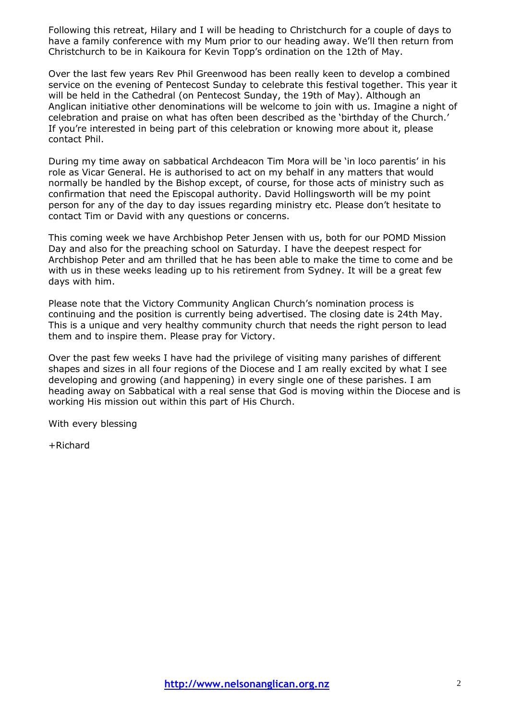Following this retreat, Hilary and I will be heading to Christchurch for a couple of days to have a family conference with my Mum prior to our heading away. We"ll then return from Christchurch to be in Kaikoura for Kevin Topp"s ordination on the 12th of May.

Over the last few years Rev Phil Greenwood has been really keen to develop a combined service on the evening of Pentecost Sunday to celebrate this festival together. This year it will be held in the Cathedral (on Pentecost Sunday, the 19th of May). Although an Anglican initiative other denominations will be welcome to join with us. Imagine a night of celebration and praise on what has often been described as the "birthday of the Church." If you"re interested in being part of this celebration or knowing more about it, please contact Phil.

During my time away on sabbatical Archdeacon Tim Mora will be "in loco parentis" in his role as Vicar General. He is authorised to act on my behalf in any matters that would normally be handled by the Bishop except, of course, for those acts of ministry such as confirmation that need the Episcopal authority. David Hollingsworth will be my point person for any of the day to day issues regarding ministry etc. Please don"t hesitate to contact Tim or David with any questions or concerns.

This coming week we have Archbishop Peter Jensen with us, both for our POMD Mission Day and also for the preaching school on Saturday. I have the deepest respect for Archbishop Peter and am thrilled that he has been able to make the time to come and be with us in these weeks leading up to his retirement from Sydney. It will be a great few days with him.

Please note that the Victory Community Anglican Church's nomination process is continuing and the position is currently being advertised. The closing date is 24th May. This is a unique and very healthy community church that needs the right person to lead them and to inspire them. Please pray for Victory.

Over the past few weeks I have had the privilege of visiting many parishes of different shapes and sizes in all four regions of the Diocese and I am really excited by what I see developing and growing (and happening) in every single one of these parishes. I am heading away on Sabbatical with a real sense that God is moving within the Diocese and is working His mission out within this part of His Church.

With every blessing

+Richard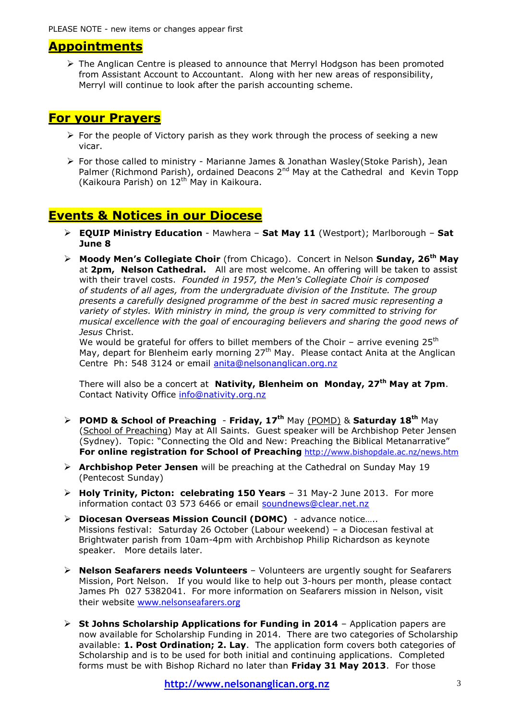# **Appointments**

 $\triangleright$  The Anglican Centre is pleased to announce that Merryl Hodgson has been promoted from Assistant Account to Accountant. Along with her new areas of responsibility, Merryl will continue to look after the parish accounting scheme.

# **For your Prayers**

- $\triangleright$  For the people of Victory parish as they work through the process of seeking a new vicar.
- For those called to ministry Marianne James & Jonathan Wasley(Stoke Parish), Jean Palmer (Richmond Parish), ordained Deacons 2<sup>nd</sup> May at the Cathedral and Kevin Topp (Kaikoura Parish) on 12<sup>th</sup> May in Kaikoura.

# **Events & Notices in our Diocese**

- **EQUIP Ministry Education** Mawhera **Sat May 11** (Westport); Marlborough **Sat June 8**
- **Moody Men's Collegiate Choir** (from Chicago). Concert in Nelson **Sunday, 26th May** at **2pm, Nelson Cathedral.** All are most welcome. An offering will be taken to assist with their travel costs. *Founded in 1957, the Men's Collegiate Choir is composed of students of all ages, from the undergraduate division of the Institute. The group presents a carefully designed programme of the best in sacred music representing a variety of styles. With ministry in mind, the group is very committed to striving for musical excellence with the goal of encouraging believers and sharing the good news of Jesus* Christ.

We would be grateful for offers to billet members of the Choir – arrive evening  $25<sup>th</sup>$ May, depart for Blenheim early morning 27<sup>th</sup> May. Please contact Anita at the Anglican Centre Ph: 548 3124 or email [anita@nelsonanglican.org.nz](mailto:anita@nelsonanglican.org.nz)

There will also be a concert at **Nativity, Blenheim on Monday, 27th May at 7pm**. Contact Nativity Office [info@nativity.org.nz](mailto:info@nativity.org.nz)

- **POMD & School of Preaching Friday, 17th** May (POMD) & **Saturday 18th** May (School of Preaching) May at All Saints. Guest speaker will be Archbishop Peter Jensen (Sydney). Topic: "Connecting the Old and New: Preaching the Biblical Metanarrative" **For online registration for School of Preaching** <http://www.bishopdale.ac.nz/news.htm>
- **Archbishop Peter Jensen** will be preaching at the Cathedral on Sunday May 19 (Pentecost Sunday)
- **Holy Trinity, Picton: celebrating 150 Years** 31 May-2 June 2013. For more information contact 03 573 6466 or email [soundnews@clear.net.nz](mailto:soundnews@clear.net.nz)
- **Diocesan Overseas Mission Council (DOMC)**  advance notice….. Missions festival: Saturday 26 October (Labour weekend) – a Diocesan festival at Brightwater parish from 10am-4pm with Archbishop Philip Richardson as keynote speaker. More details later.
- **Nelson Seafarers needs Volunteers**  Volunteers are urgently sought for Seafarers Mission, Port Nelson. If you would like to help out 3-hours per month, please contact James Ph 027 5382041. For more information on Seafarers mission in Nelson, visit their website [www.nelsonseafarers.org](http://www.nelsonseafarers.org/)
- **St Johns Scholarship Applications for Funding in 2014** Application papers are now available for Scholarship Funding in 2014. There are two categories of Scholarship available: **1. Post Ordination; 2. Lay**. The application form covers both categories of Scholarship and is to be used for both initial and continuing applications. Completed forms must be with Bishop Richard no later than **Friday 31 May 2013**. For those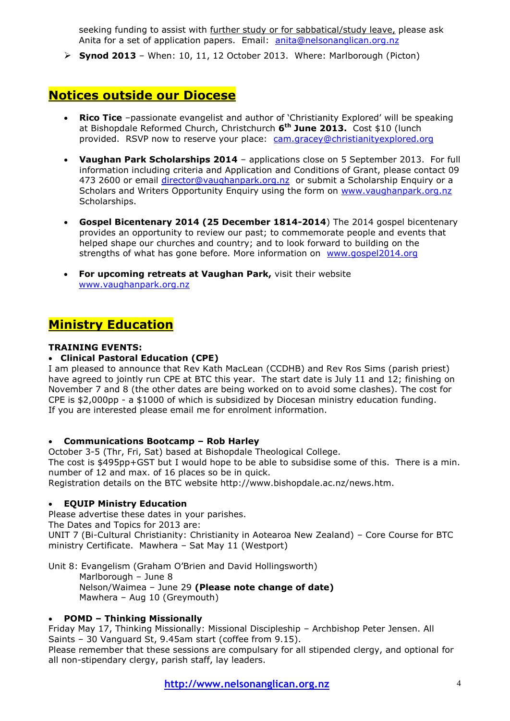seeking funding to assist with further study or for sabbatical/study leave, please ask Anita for a set of application papers. Email: [anita@nelsonanglican.org.nz](mailto:anita@nelsonanglican.org.nz)

**Synod 2013** – When: 10, 11, 12 October 2013. Where: Marlborough (Picton)

# **Notices outside our Diocese**

- **Rico Tice** -passionate evangelist and author of 'Christianity Explored' will be speaking at Bishopdale Reformed Church, Christchurch **6 th June 2013.** Cost \$10 (lunch provided. RSVP now to reserve your place: [cam.gracey@christianityexplored.org](mailto:cam.gracey@christianityexplored.org)
- **Vaughan Park Scholarships 2014** applications close on 5 September 2013. For full information including criteria and Application and Conditions of Grant, please contact 09 473 2600 or email [director@vaughanpark.org.nz](mailto:director@vaughanpark.org.nz) or submit a Scholarship Enquiry or a Scholars and Writers Opportunity Enquiry using the form on [www.vaughanpark.org.nz](http://www.vaughanpark.org.nz/) Scholarships.
- **Gospel Bicentenary 2014 (25 December 1814-2014**) The 2014 gospel bicentenary provides an opportunity to review our past; to commemorate people and events that helped shape our churches and country; and to look forward to building on the strengths of what has gone before. More information on [www.gospel2014.org](http://www.gospel2014.org/)
- **For upcoming retreats at Vaughan Park,** visit their website [www.vaughanpark.org.nz](http://www.vaughanpark.org.nz/)

# **Ministry Education**

# **TRAINING EVENTS:**

### **Clinical Pastoral Education (CPE)**

I am pleased to announce that Rev Kath MacLean (CCDHB) and Rev Ros Sims (parish priest) have agreed to jointly run CPE at BTC this year. The start date is July 11 and 12; finishing on November 7 and 8 (the other dates are being worked on to avoid some clashes). The cost for CPE is \$2,000pp - a \$1000 of which is subsidized by Diocesan ministry education funding. If you are interested please email me for enrolment information.

#### **Communications Bootcamp – Rob Harley**

October 3-5 (Thr, Fri, Sat) based at Bishopdale Theological College. The cost is \$495pp+GST but I would hope to be able to subsidise some of this. There is a min. number of 12 and max. of 16 places so be in quick.

Registration details on the BTC website http://www.bishopdale.ac.nz/news.htm.

#### **EQUIP Ministry Education**

Please advertise these dates in your parishes.

The Dates and Topics for 2013 are:

UNIT 7 (Bi-Cultural Christianity: Christianity in Aotearoa New Zealand) – Core Course for BTC ministry Certificate. Mawhera – Sat May 11 (Westport)

Unit 8: Evangelism (Graham O"Brien and David Hollingsworth) Marlborough – June 8 Nelson/Waimea – June 29 **(Please note change of date)**  Mawhera – Aug 10 (Greymouth)

# **POMD – Thinking Missionally**

Friday May 17, Thinking Missionally: Missional Discipleship – Archbishop Peter Jensen. All Saints – 30 Vanguard St, 9.45am start (coffee from 9.15). Please remember that these sessions are compulsary for all stipended clergy, and optional for all non-stipendary clergy, parish staff, lay leaders.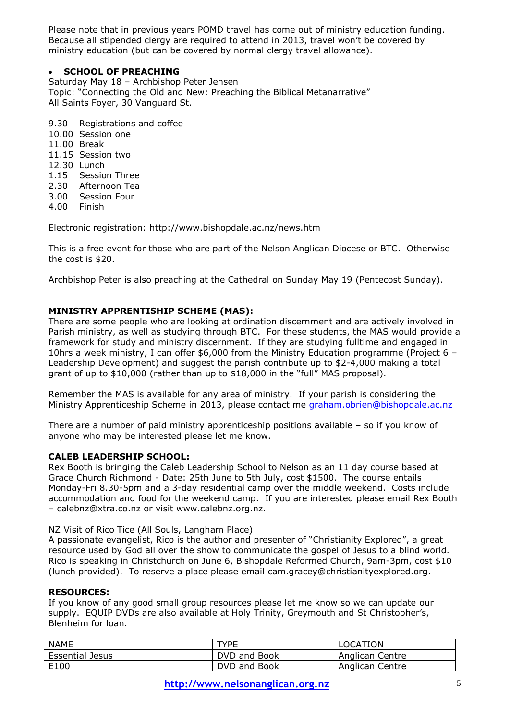Please note that in previous years POMD travel has come out of ministry education funding. Because all stipended clergy are required to attend in 2013, travel won"t be covered by ministry education (but can be covered by normal clergy travel allowance).

# **SCHOOL OF PREACHING**

Saturday May 18 – Archbishop Peter Jensen Topic: "Connecting the Old and New: Preaching the Biblical Metanarrative" All Saints Foyer, 30 Vanguard St.

9.30 Registrations and coffee 10.00 Session one 11.00 Break 11.15 Session two 12.30 Lunch 1.15 Session Three 2.30 Afternoon Tea 3.00 Session Four 4.00 Finish

Electronic registration:<http://www.bishopdale.ac.nz/news.htm>

This is a free event for those who are part of the Nelson Anglican Diocese or BTC. Otherwise the cost is \$20.

Archbishop Peter is also preaching at the Cathedral on Sunday May 19 (Pentecost Sunday).

# **MINISTRY APPRENTISHIP SCHEME (MAS):**

There are some people who are looking at ordination discernment and are actively involved in Parish ministry, as well as studying through BTC. For these students, the MAS would provide a framework for study and ministry discernment. If they are studying fulltime and engaged in 10hrs a week ministry, I can offer \$6,000 from the Ministry Education programme (Project 6 – Leadership Development) and suggest the parish contribute up to \$2-4,000 making a total grant of up to \$10,000 (rather than up to \$18,000 in the "full" MAS proposal).

Remember the MAS is available for any area of ministry. If your parish is considering the Ministry Apprenticeship Scheme in 2013, please contact me [graham.obrien@bishopdale.ac.nz](mailto:graham.obrien@bishopdale.ac.nz)

There are a number of paid ministry apprenticeship positions available – so if you know of anyone who may be interested please let me know.

#### **CALEB LEADERSHIP SCHOOL:**

Rex Booth is bringing the Caleb Leadership School to Nelson as an 11 day course based at Grace Church Richmond - Date: 25th June to 5th July, cost \$1500. The course entails Monday-Fri 8.30-5pm and a 3-day residential camp over the middle weekend. Costs include accommodation and food for the weekend camp. If you are interested please email Rex Booth – [calebnz@xtra.co.nz](mailto:calebnz@xtra.co.nz) or visit www.calebnz.org.nz.

#### NZ Visit of Rico Tice (All Souls, Langham Place)

A passionate evangelist, Rico is the author and presenter of "Christianity Explored", a great resource used by God all over the show to communicate the gospel of Jesus to a blind world. Rico is speaking in Christchurch on June 6, Bishopdale Reformed Church, 9am-3pm, cost \$10 (lunch provided). To reserve a place please email [cam.gracey@christianityexplored.org.](cam.gracey@christianityexplored.org)

#### **RESOURCES:**

If you know of any good small group resources please let me know so we can update our supply. EQUIP DVDs are also available at Holy Trinity, Greymouth and St Christopher's, Blenheim for loan.

| <b>NAME</b>            | <b>TYPE</b>  | LOCATION        |
|------------------------|--------------|-----------------|
| <b>Essential Jesus</b> | DVD and Book | Anglican Centre |
| E100                   | DVD and Book | Anglican Centre |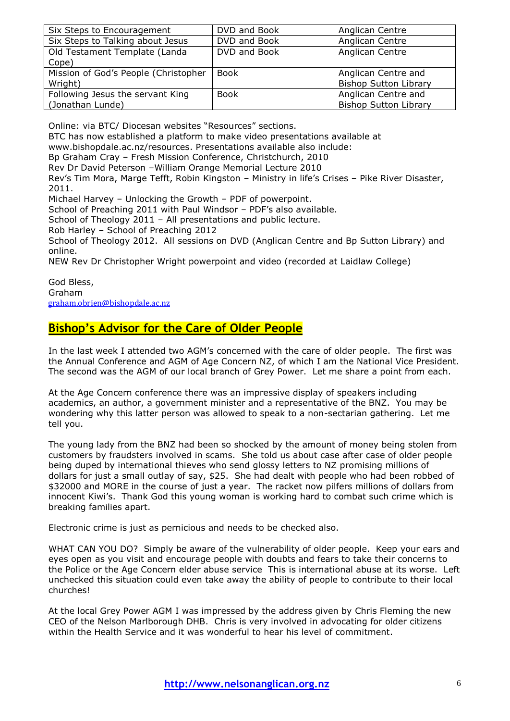| Six Steps to Encouragement           | DVD and Book | Anglican Centre              |
|--------------------------------------|--------------|------------------------------|
| Six Steps to Talking about Jesus     | DVD and Book | Anglican Centre              |
| Old Testament Template (Landa        | DVD and Book | Anglican Centre              |
| Cope)                                |              |                              |
| Mission of God's People (Christopher | <b>Book</b>  | Anglican Centre and          |
| Wright)                              |              | <b>Bishop Sutton Library</b> |
| Following Jesus the servant King     | <b>Book</b>  | Anglican Centre and          |
| (Jonathan Lunde)                     |              | <b>Bishop Sutton Library</b> |

Online: via BTC/ Diocesan websites "Resources" sections.

BTC has now established a platform to make video presentations available at

[www.bishopdale.ac.nz/resources.](http://www.bishopdale.ac.nz/resources) Presentations available also include:

Bp Graham Cray – Fresh Mission Conference, Christchurch, 2010

Rev Dr David Peterson –William Orange Memorial Lecture 2010

Rev"s Tim Mora, Marge Tefft, Robin Kingston – Ministry in life"s Crises – Pike River Disaster, 2011.

Michael Harvey – Unlocking the Growth – PDF of powerpoint.

School of Preaching 2011 with Paul Windsor – PDF"s also available.

School of Theology 2011 – All presentations and public lecture.

Rob Harley – School of Preaching 2012

School of Theology 2012. All sessions on DVD (Anglican Centre and Bp Sutton Library) and online.

NEW Rev Dr Christopher Wright powerpoint and video (recorded at Laidlaw College)

God Bless, Graham [graham.obrien@bishopdale.ac.nz](mailto:graham.obrien@bishopdale.ac.nz)

# **Bishop's Advisor for the Care of Older People**

In the last week I attended two AGM"s concerned with the care of older people. The first was the Annual Conference and AGM of Age Concern NZ, of which I am the National Vice President. The second was the AGM of our local branch of Grey Power. Let me share a point from each.

At the Age Concern conference there was an impressive display of speakers including academics, an author, a government minister and a representative of the BNZ. You may be wondering why this latter person was allowed to speak to a non-sectarian gathering. Let me tell you.

The young lady from the BNZ had been so shocked by the amount of money being stolen from customers by fraudsters involved in scams. She told us about case after case of older people being duped by international thieves who send glossy letters to NZ promising millions of dollars for just a small outlay of say, \$25. She had dealt with people who had been robbed of \$32000 and MORE in the course of just a year. The racket now pilfers millions of dollars from innocent Kiwi's. Thank God this young woman is working hard to combat such crime which is breaking families apart.

Electronic crime is just as pernicious and needs to be checked also.

WHAT CAN YOU DO? Simply be aware of the vulnerability of older people. Keep your ears and eyes open as you visit and encourage people with doubts and fears to take their concerns to the Police or the Age Concern elder abuse service This is international abuse at its worse. Left unchecked this situation could even take away the ability of people to contribute to their local churches!

At the local Grey Power AGM I was impressed by the address given by Chris Fleming the new CEO of the Nelson Marlborough DHB. Chris is very involved in advocating for older citizens within the Health Service and it was wonderful to hear his level of commitment.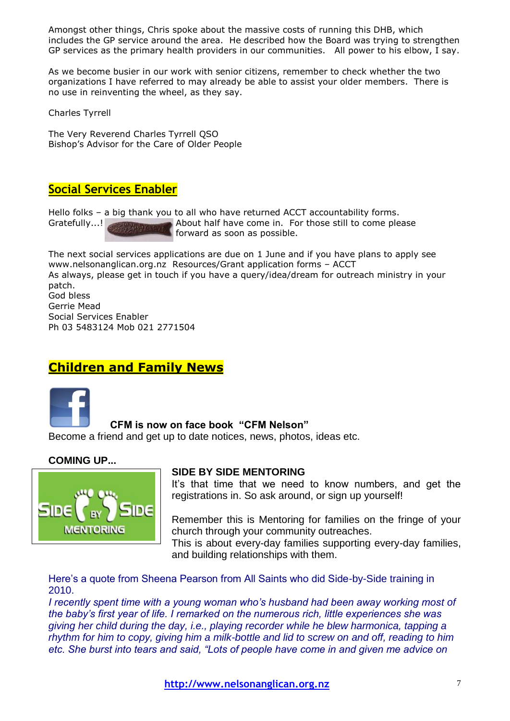Amongst other things, Chris spoke about the massive costs of running this DHB, which includes the GP service around the area. He described how the Board was trying to strengthen GP services as the primary health providers in our communities. All power to his elbow, I say.

As we become busier in our work with senior citizens, remember to check whether the two organizations I have referred to may already be able to assist your older members. There is no use in reinventing the wheel, as they say.

Charles Tyrrell

The Very Reverend Charles Tyrrell QSO Bishop"s Advisor for the Care of Older People

# **Social Services Enabler**

Hello folks – a big thank you to all who have returned ACCT accountability forms. Gratefully...! About half have come in. For those still to come please forward as soon as possible.

The next social services applications are due on 1 June and if you have plans to apply see [www.nelsonanglican.org.nz](http://www.nelsonanglican.org.nz/) Resources/Grant application forms – ACCT As always, please get in touch if you have a query/idea/dream for outreach ministry in your patch.

God bless Gerrie Mead Social Services Enabler Ph 03 5483124 Mob 021 2771504

# **Children and Family News**



# **CFM is now on face book "CFM Nelson"**

Become a friend and get up to date notices, news, photos, ideas etc.

# **COMING UP...**



# **SIDE BY SIDE MENTORING**

It's that time that we need to know numbers, and get the registrations in. So ask around, or sign up yourself!

Remember this is Mentoring for families on the fringe of your church through your community outreaches. This is about every-day families supporting every-day families,

and building relationships with them.

Here's a quote from Sheena Pearson from All Saints who did Side-by-Side training in 2010.

*I* recently spent time with a young woman who's husband had been away working most of *the baby"s first year of life. I remarked on the numerous rich, little experiences she was giving her child during the day, i.e., playing recorder while he blew harmonica, tapping a rhythm for him to copy, giving him a milk-bottle and lid to screw on and off, reading to him etc. She burst into tears and said, "Lots of people have come in and given me advice on*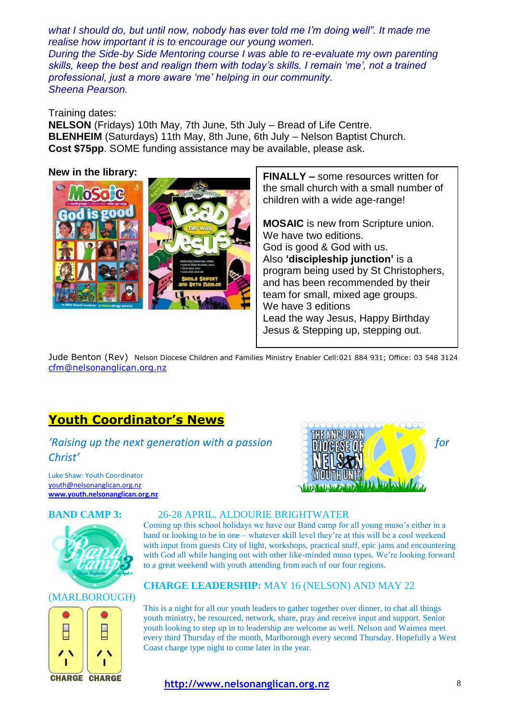*what I should do, but until now, nobody has ever told me I"m doing well". It made me realise how important it is to encourage our young women. During the Side-by Side Mentoring course I was able to re-evaluate my own parenting skills, keep the best and realign them with today"s skills. I remain "me", not a trained professional, just a more aware "me" helping in our community. Sheena Pearson.*

# Training dates:

**NELSON** (Fridays) 10th May, 7th June, 5th July – Bread of Life Centre. **BLENHEIM** (Saturdays) 11th May, 8th June, 6th July – Nelson Baptist Church. **Cost \$75pp**. SOME funding assistance may be available, please ask.

### **New in the library:**



**FINALLY –** some resources written for the small church with a small number of children with a wide age-range!

**MOSAIC** is new from Scripture union. We have two editions. God is good & God with us. Also **"discipleship junction"** is a program being used by St Christophers, and has been recommended by their team for small, mixed age groups. We have 3 editions Lead the way Jesus, Happy Birthday Jesus & Stepping up, stepping out.

Jude Benton (Rev) Nelson Diocese Children and Families Ministry Enabler Cell:021 884 931; Office: 03 548 3124 [cfm@nelsonanglican.org.nz](mailto:cfm@nelsonanglican.org.nz)

# **Youth Coordinator's News**

*'Raising up the next generation with a passion* **for** *ningking the state for Christ'*

Luke Shaw: Youth Coordinator [youth@nelsonanglican.org.nz](mailto:youth@nelsonanglican.org.nz) **[www.youth.nelsonanglican.org.nz](http://www.youth.nelsonanglican.org.nz/)**





#### (MARLBOROUGH)



#### **BAND CAMP 3:** 26-28 APRIL, ALDOURIE BRIGHTWATER

Coming up this school holidays we have our Band camp for all young muso's either in a band or looking to be in one – whatever skill level they're at this will be a cool weekend with input from guests City of light, workshops, practical stuff, epic jams and encountering with God all while hanging out with other like-minded muso types. We're looking forward to a great weekend with youth attending from each of our four regions.

# **CHARGE LEADERSHIP:** MAY 16 (NELSON) AND MAY 22

This is a night for all our youth leaders to gather together over dinner, to chat all things youth ministry, be resourced, network, share, pray and receive input and support. Senior youth looking to step up in to leadership are welcome as well. Nelson and Waimea meet every third Thursday of the month, Marlborough every second Thursday. Hopefully a West Coast charge type night to come later in the year.

#### **http://www.nelsonanglican.org.nz** 8